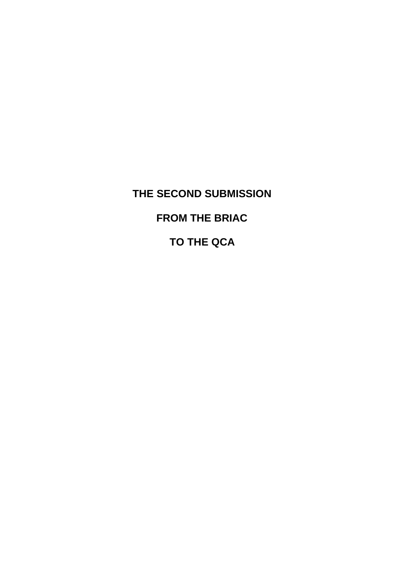# **THE SECOND SUBMISSION FROM THE BRIAC TO THE QCA**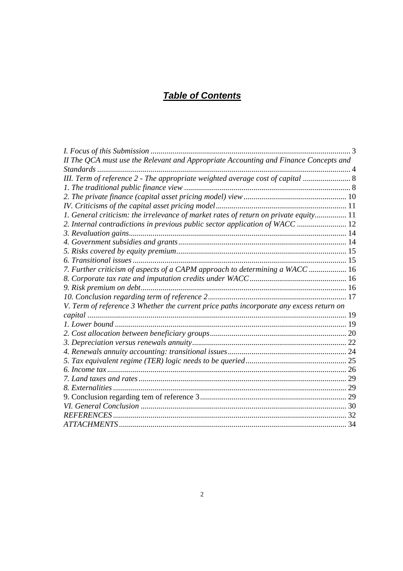## *Table of Contents*

| II The QCA must use the Relevant and Appropriate Accounting and Finance Concepts and    |  |
|-----------------------------------------------------------------------------------------|--|
|                                                                                         |  |
| III. Term of reference 2 - The appropriate weighted average cost of capital  8          |  |
|                                                                                         |  |
|                                                                                         |  |
|                                                                                         |  |
| 1. General criticism: the irrelevance of market rates of return on private equity 11    |  |
| 2. Internal contradictions in previous public sector application of WACC  12            |  |
|                                                                                         |  |
|                                                                                         |  |
|                                                                                         |  |
|                                                                                         |  |
| 7. Further criticism of aspects of a CAPM approach to determining a WACC  16            |  |
|                                                                                         |  |
|                                                                                         |  |
|                                                                                         |  |
| V. Term of reference 3 Whether the current price paths incorporate any excess return on |  |
|                                                                                         |  |
|                                                                                         |  |
|                                                                                         |  |
|                                                                                         |  |
|                                                                                         |  |
|                                                                                         |  |
|                                                                                         |  |
|                                                                                         |  |
|                                                                                         |  |
|                                                                                         |  |
|                                                                                         |  |
|                                                                                         |  |
|                                                                                         |  |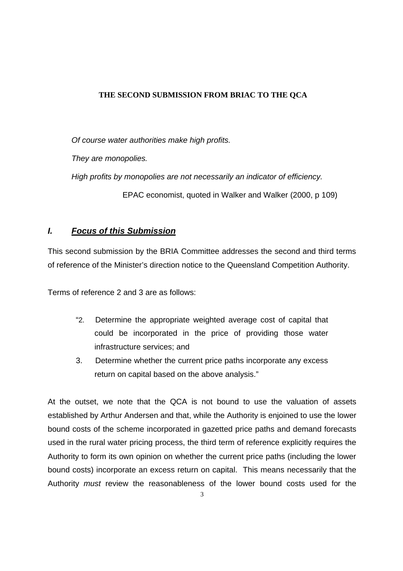#### **THE SECOND SUBMISSION FROM BRIAC TO THE QCA**

*Of course water authorities make high profits.*

*They are monopolies.*

*High profits by monopolies are not necessarily an indicator of efficiency.*

EPAC economist, quoted in Walker and Walker (2000, p 109)

## *I. Focus of this Submission*

This second submission by the BRIA Committee addresses the second and third terms of reference of the Minister's direction notice to the Queensland Competition Authority.

Terms of reference 2 and 3 are as follows:

- "2. Determine the appropriate weighted average cost of capital that could be incorporated in the price of providing those water infrastructure services; and
- 3. Determine whether the current price paths incorporate any excess return on capital based on the above analysis."

At the outset, we note that the QCA is not bound to use the valuation of assets established by Arthur Andersen and that, while the Authority is enjoined to use the lower bound costs of the scheme incorporated in gazetted price paths and demand forecasts used in the rural water pricing process, the third term of reference explicitly requires the Authority to form its own opinion on whether the current price paths (including the lower bound costs) incorporate an excess return on capital. This means necessarily that the Authority *must* review the reasonableness of the lower bound costs used for the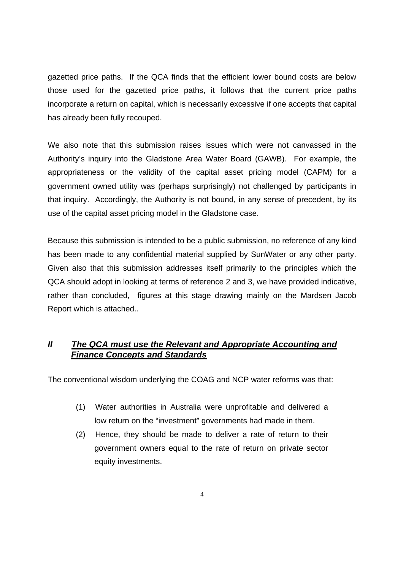gazetted price paths. If the QCA finds that the efficient lower bound costs are below those used for the gazetted price paths, it follows that the current price paths incorporate a return on capital, which is necessarily excessive if one accepts that capital has already been fully recouped.

We also note that this submission raises issues which were not canvassed in the Authority's inquiry into the Gladstone Area Water Board (GAWB). For example, the appropriateness or the validity of the capital asset pricing model (CAPM) for a government owned utility was (perhaps surprisingly) not challenged by participants in that inquiry. Accordingly, the Authority is not bound, in any sense of precedent, by its use of the capital asset pricing model in the Gladstone case.

Because this submission is intended to be a public submission, no reference of any kind has been made to any confidential material supplied by SunWater or any other party. Given also that this submission addresses itself primarily to the principles which the QCA should adopt in looking at terms of reference 2 and 3, we have provided indicative, rather than concluded, figures at this stage drawing mainly on the Mardsen Jacob Report which is attached..

## *II The QCA must use the Relevant and Appropriate Accounting and Finance Concepts and Standards*

The conventional wisdom underlying the COAG and NCP water reforms was that:

- (1) Water authorities in Australia were unprofitable and delivered a low return on the "investment" governments had made in them.
- (2) Hence, they should be made to deliver a rate of return to their government owners equal to the rate of return on private sector equity investments.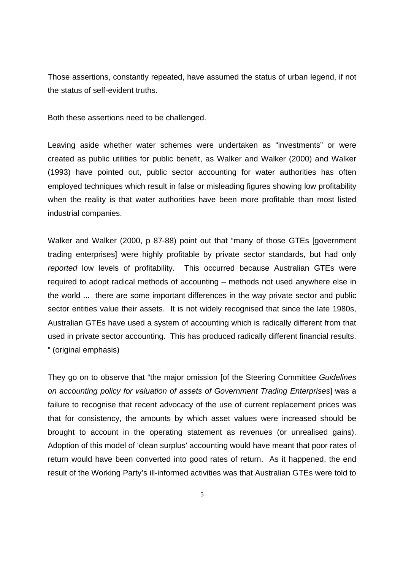Those assertions, constantly repeated, have assumed the status of urban legend, if not the status of self-evident truths.

Both these assertions need to be challenged.

Leaving aside whether water schemes were undertaken as "investments" or were created as public utilities for public benefit, as Walker and Walker (2000) and Walker (1993) have pointed out, public sector accounting for water authorities has often employed techniques which result in false or misleading figures showing low profitability when the reality is that water authorities have been more profitable than most listed industrial companies.

Walker and Walker (2000, p 87-88) point out that "many of those GTEs [government trading enterprises] were highly profitable by private sector standards, but had only *reported* low levels of profitability. This occurred because Australian GTEs were required to adopt radical methods of accounting – methods not used anywhere else in the world ... there are some important differences in the way private sector and public sector entities value their assets. It is not widely recognised that since the late 1980s, Australian GTEs have used a system of accounting which is radically different from that used in private sector accounting. This has produced radically different financial results. " (original emphasis)

They go on to observe that "the major omission [of the Steering Committee *Guidelines on accounting policy for valuation of assets of Government Trading Enterprises*] was a failure to recognise that recent advocacy of the use of current replacement prices was that for consistency, the amounts by which asset values were increased should be brought to account in the operating statement as revenues (or unrealised gains). Adoption of this model of 'clean surplus' accounting would have meant that poor rates of return would have been converted into good rates of return. As it happened, the end result of the Working Party's ill-informed activities was that Australian GTEs were told to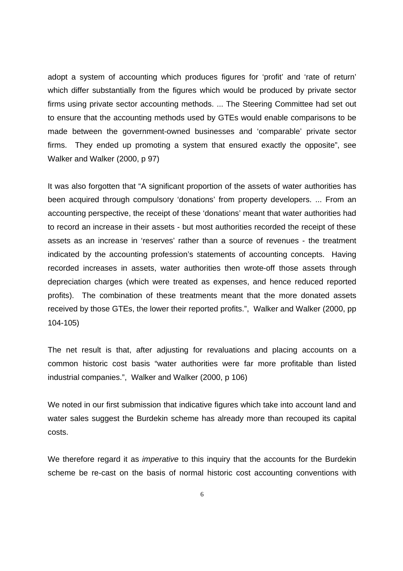adopt a system of accounting which produces figures for 'profit' and 'rate of return' which differ substantially from the figures which would be produced by private sector firms using private sector accounting methods. ... The Steering Committee had set out to ensure that the accounting methods used by GTEs would enable comparisons to be made between the government-owned businesses and 'comparable' private sector firms. They ended up promoting a system that ensured exactly the opposite", see Walker and Walker (2000, p 97)

It was also forgotten that "A significant proportion of the assets of water authorities has been acquired through compulsory 'donations' from property developers. ... From an accounting perspective, the receipt of these 'donations' meant that water authorities had to record an increase in their assets - but most authorities recorded the receipt of these assets as an increase in 'reserves' rather than a source of revenues - the treatment indicated by the accounting profession's statements of accounting concepts. Having recorded increases in assets, water authorities then wrote-off those assets through depreciation charges (which were treated as expenses, and hence reduced reported profits). The combination of these treatments meant that the more donated assets received by those GTEs, the lower their reported profits.", Walker and Walker (2000, pp 104-105)

The net result is that, after adjusting for revaluations and placing accounts on a common historic cost basis "water authorities were far more profitable than listed industrial companies.", Walker and Walker (2000, p 106)

We noted in our first submission that indicative figures which take into account land and water sales suggest the Burdekin scheme has already more than recouped its capital costs.

We therefore regard it as *imperative* to this inquiry that the accounts for the Burdekin scheme be re-cast on the basis of normal historic cost accounting conventions with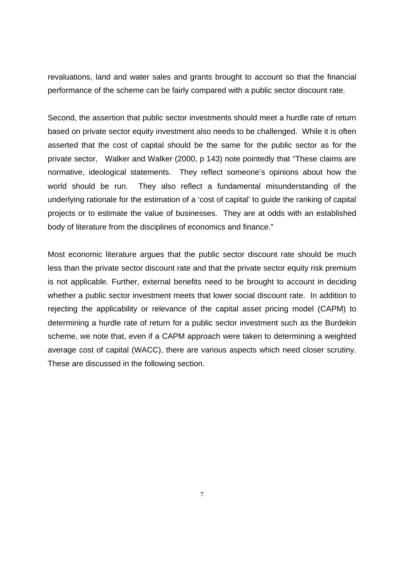revaluations, land and water sales and grants brought to account so that the financial performance of the scheme can be fairly compared with a public sector discount rate.

Second, the assertion that public sector investments should meet a hurdle rate of return based on private sector equity investment also needs to be challenged. While it is often asserted that the cost of capital should be the same for the public sector as for the private sector, Walker and Walker (2000, p 143) note pointedly that "These claims are normative, ideological statements. They reflect someone's opinions about how the world should be run. They also reflect a fundamental misunderstanding of the underlying rationale for the estimation of a 'cost of capital' to guide the ranking of capital projects or to estimate the value of businesses. They are at odds with an established body of literature from the disciplines of economics and finance."

Most economic literature argues that the public sector discount rate should be much less than the private sector discount rate and that the private sector equity risk premium is not applicable. Further, external benefits need to be brought to account in deciding whether a public sector investment meets that lower social discount rate. In addition to rejecting the applicability or relevance of the capital asset pricing model (CAPM) to determining a hurdle rate of return for a public sector investment such as the Burdekin scheme, we note that, even if a CAPM approach were taken to determining a weighted average cost of capital (WACC), there are various aspects which need closer scrutiny. These are discussed in the following section.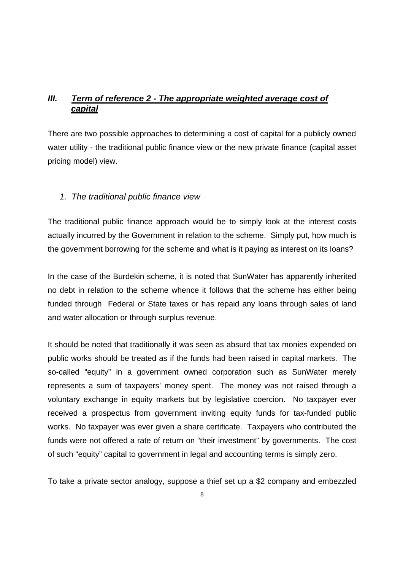## *III. Term of reference 2 - The appropriate weighted average cost of capital*

There are two possible approaches to determining a cost of capital for a publicly owned water utility - the traditional public finance view or the new private finance (capital asset pricing model) view.

## *1. The traditional public finance view*

The traditional public finance approach would be to simply look at the interest costs actually incurred by the Government in relation to the scheme. Simply put, how much is the government borrowing for the scheme and what is it paying as interest on its loans?

In the case of the Burdekin scheme, it is noted that SunWater has apparently inherited no debt in relation to the scheme whence it follows that the scheme has either being funded through Federal or State taxes or has repaid any loans through sales of land and water allocation or through surplus revenue.

It should be noted that traditionally it was seen as absurd that tax monies expended on public works should be treated as if the funds had been raised in capital markets. The so-called "equity" in a government owned corporation such as SunWater merely represents a sum of taxpayers' money spent. The money was not raised through a voluntary exchange in equity markets but by legislative coercion. No taxpayer ever received a prospectus from government inviting equity funds for tax-funded public works. No taxpayer was ever given a share certificate. Taxpayers who contributed the funds were not offered a rate of return on "their investment" by governments. The cost of such "equity" capital to government in legal and accounting terms is simply zero.

To take a private sector analogy, suppose a thief set up a \$2 company and embezzled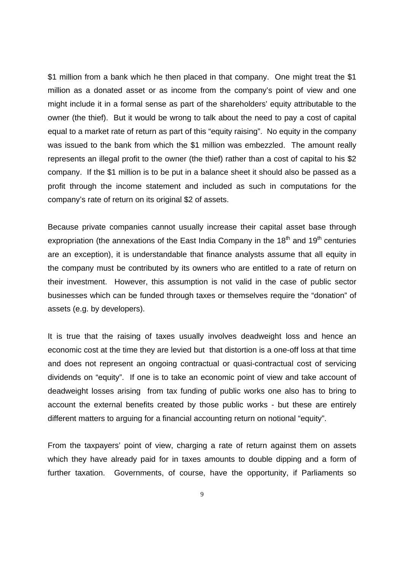\$1 million from a bank which he then placed in that company. One might treat the \$1 million as a donated asset or as income from the company's point of view and one might include it in a formal sense as part of the shareholders' equity attributable to the owner (the thief). But it would be wrong to talk about the need to pay a cost of capital equal to a market rate of return as part of this "equity raising". No equity in the company was issued to the bank from which the \$1 million was embezzled. The amount really represents an illegal profit to the owner (the thief) rather than a cost of capital to his \$2 company. If the \$1 million is to be put in a balance sheet it should also be passed as a profit through the income statement and included as such in computations for the company's rate of return on its original \$2 of assets.

Because private companies cannot usually increase their capital asset base through expropriation (the annexations of the East India Company in the  $18<sup>th</sup>$  and  $19<sup>th</sup>$  centuries are an exception), it is understandable that finance analysts assume that all equity in the company must be contributed by its owners who are entitled to a rate of return on their investment. However, this assumption is not valid in the case of public sector businesses which can be funded through taxes or themselves require the "donation" of assets (e.g. by developers).

It is true that the raising of taxes usually involves deadweight loss and hence an economic cost at the time they are levied but that distortion is a one-off loss at that time and does not represent an ongoing contractual or quasi-contractual cost of servicing dividends on "equity". If one is to take an economic point of view and take account of deadweight losses arising from tax funding of public works one also has to bring to account the external benefits created by those public works - but these are entirely different matters to arguing for a financial accounting return on notional "equity".

From the taxpayers' point of view, charging a rate of return against them on assets which they have already paid for in taxes amounts to double dipping and a form of further taxation. Governments, of course, have the opportunity, if Parliaments so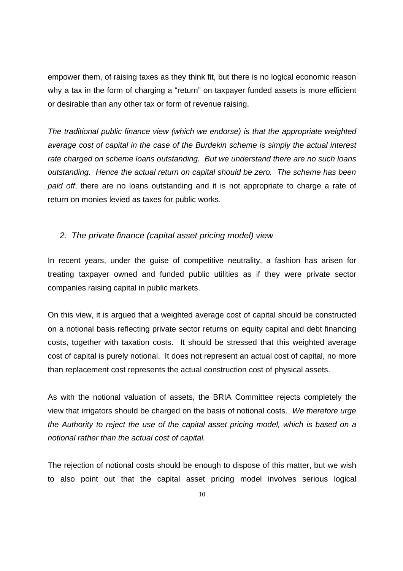empower them, of raising taxes as they think fit, but there is no logical economic reason why a tax in the form of charging a "return" on taxpayer funded assets is more efficient or desirable than any other tax or form of revenue raising.

*The traditional public finance view (which we endorse) is that the appropriate weighted average cost of capital in the case of the Burdekin scheme is simply the actual interest rate charged on scheme loans outstanding. But we understand there are no such loans outstanding. Hence the actual return on capital should be zero. The scheme has been paid off*, there are no loans outstanding and it is not appropriate to charge a rate of return on monies levied as taxes for public works.

#### *2. The private finance (capital asset pricing model) view*

In recent years, under the guise of competitive neutrality, a fashion has arisen for treating taxpayer owned and funded public utilities as if they were private sector companies raising capital in public markets.

On this view, it is argued that a weighted average cost of capital should be constructed on a notional basis reflecting private sector returns on equity capital and debt financing costs, together with taxation costs. It should be stressed that this weighted average cost of capital is purely notional. It does not represent an actual cost of capital, no more than replacement cost represents the actual construction cost of physical assets.

As with the notional valuation of assets, the BRIA Committee rejects completely the view that irrigators should be charged on the basis of notional costs. *We therefore urge the Authority to reject the use of the capital asset pricing model, which is based on a notional rather than the actual cost of capital.*

The rejection of notional costs should be enough to dispose of this matter, but we wish to also point out that the capital asset pricing model involves serious logical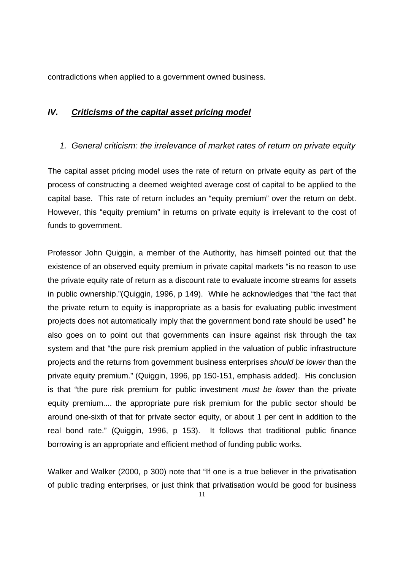contradictions when applied to a government owned business.

## *IV. Criticisms of the capital asset pricing model*

## *1. General criticism: the irrelevance of market rates of return on private equity*

The capital asset pricing model uses the rate of return on private equity as part of the process of constructing a deemed weighted average cost of capital to be applied to the capital base. This rate of return includes an "equity premium" over the return on debt. However, this "equity premium" in returns on private equity is irrelevant to the cost of funds to government.

Professor John Quiggin, a member of the Authority, has himself pointed out that the existence of an observed equity premium in private capital markets "is no reason to use the private equity rate of return as a discount rate to evaluate income streams for assets in public ownership."(Quiggin, 1996, p 149). While he acknowledges that "the fact that the private return to equity is inappropriate as a basis for evaluating public investment projects does not automatically imply that the government bond rate should be used" he also goes on to point out that governments can insure against risk through the tax system and that "the pure risk premium applied in the valuation of public infrastructure projects and the returns from government business enterprises *should be lower* than the private equity premium." (Quiggin, 1996, pp 150-151, emphasis added). His conclusion is that "the pure risk premium for public investment *must be lower* than the private equity premium.... the appropriate pure risk premium for the public sector should be around one-sixth of that for private sector equity, or about 1 per cent in addition to the real bond rate." (Quiggin, 1996, p 153). It follows that traditional public finance borrowing is an appropriate and efficient method of funding public works.

Walker and Walker (2000, p 300) note that "If one is a true believer in the privatisation of public trading enterprises, or just think that privatisation would be good for business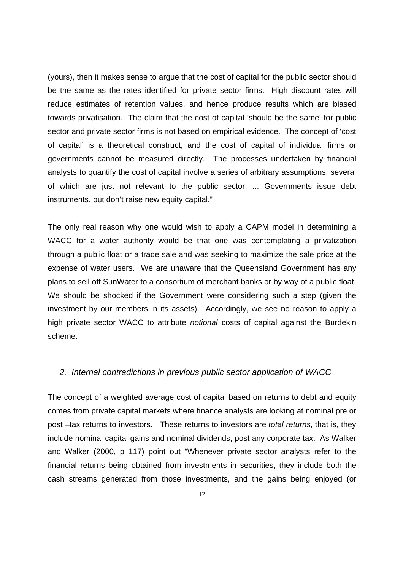(yours), then it makes sense to argue that the cost of capital for the public sector should be the same as the rates identified for private sector firms. High discount rates will reduce estimates of retention values, and hence produce results which are biased towards privatisation. The claim that the cost of capital 'should be the same' for public sector and private sector firms is not based on empirical evidence. The concept of 'cost of capital' is a theoretical construct, and the cost of capital of individual firms or governments cannot be measured directly. The processes undertaken by financial analysts to quantify the cost of capital involve a series of arbitrary assumptions, several of which are just not relevant to the public sector. ... Governments issue debt instruments, but don't raise new equity capital."

The only real reason why one would wish to apply a CAPM model in determining a WACC for a water authority would be that one was contemplating a privatization through a public float or a trade sale and was seeking to maximize the sale price at the expense of water users. We are unaware that the Queensland Government has any plans to sell off SunWater to a consortium of merchant banks or by way of a public float. We should be shocked if the Government were considering such a step (given the investment by our members in its assets). Accordingly, we see no reason to apply a high private sector WACC to attribute *notional* costs of capital against the Burdekin scheme.

#### *2. Internal contradictions in previous public sector application of WACC*

The concept of a weighted average cost of capital based on returns to debt and equity comes from private capital markets where finance analysts are looking at nominal pre or post –tax returns to investors. These returns to investors are *total returns*, that is, they include nominal capital gains and nominal dividends, post any corporate tax. As Walker and Walker (2000, p 117) point out "Whenever private sector analysts refer to the financial returns being obtained from investments in securities, they include both the cash streams generated from those investments, and the gains being enjoyed (or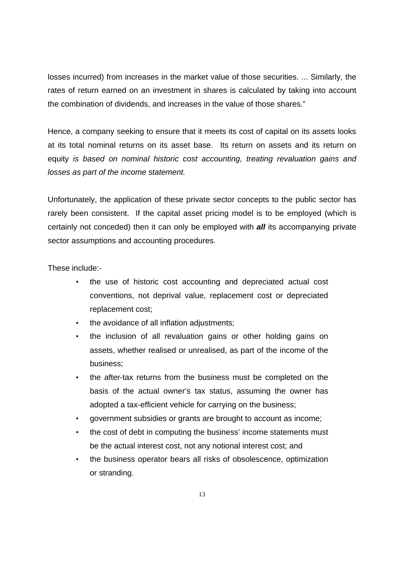losses incurred) from increases in the market value of those securities. ... Similarly, the rates of return earned on an investment in shares is calculated by taking into account the combination of dividends, and increases in the value of those shares."

Hence, a company seeking to ensure that it meets its cost of capital on its assets looks at its total nominal returns on its asset base. Its return on assets and its return on equity *is based on nominal historic cost accounting, treating revaluation gains and losses as part of the income statement.*

Unfortunately, the application of these private sector concepts to the public sector has rarely been consistent. If the capital asset pricing model is to be employed (which is certainly not conceded) then it can only be employed with *all* its accompanying private sector assumptions and accounting procedures.

These include:-

- the use of historic cost accounting and depreciated actual cost conventions, not deprival value, replacement cost or depreciated replacement cost;
- the avoidance of all inflation adjustments:
- the inclusion of all revaluation gains or other holding gains on assets, whether realised or unrealised, as part of the income of the business;
- the after-tax returns from the business must be completed on the basis of the actual owner's tax status, assuming the owner has adopted a tax-efficient vehicle for carrying on the business;
- government subsidies or grants are brought to account as income;
- the cost of debt in computing the business' income statements must be the actual interest cost, not any notional interest cost; and
- the business operator bears all risks of obsolescence, optimization or stranding.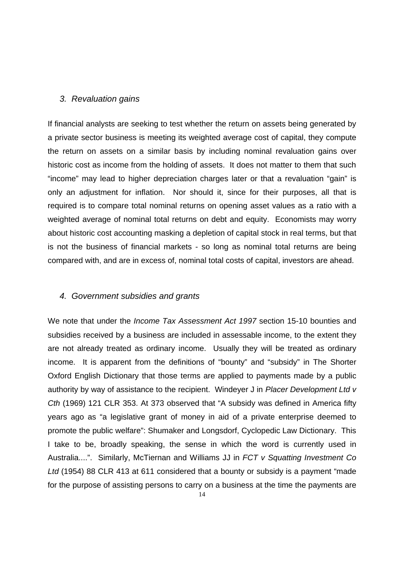#### *3. Revaluation gains*

If financial analysts are seeking to test whether the return on assets being generated by a private sector business is meeting its weighted average cost of capital, they compute the return on assets on a similar basis by including nominal revaluation gains over historic cost as income from the holding of assets. It does not matter to them that such "income" may lead to higher depreciation charges later or that a revaluation "gain" is only an adjustment for inflation. Nor should it, since for their purposes, all that is required is to compare total nominal returns on opening asset values as a ratio with a weighted average of nominal total returns on debt and equity. Economists may worry about historic cost accounting masking a depletion of capital stock in real terms, but that is not the business of financial markets - so long as nominal total returns are being compared with, and are in excess of, nominal total costs of capital, investors are ahead.

## *4. Government subsidies and grants*

We note that under the *Income Tax Assessment Act 1997* section 15-10 bounties and subsidies received by a business are included in assessable income, to the extent they are not already treated as ordinary income. Usually they will be treated as ordinary income. It is apparent from the definitions of "bounty" and "subsidy" in The Shorter Oxford English Dictionary that those terms are applied to payments made by a public authority by way of assistance to the recipient. Windeyer J in *Placer Development Ltd v Cth* (1969) 121 CLR 353. At 373 observed that "A subsidy was defined in America fifty years ago as "a legislative grant of money in aid of a private enterprise deemed to promote the public welfare": Shumaker and Longsdorf, Cyclopedic Law Dictionary. This I take to be, broadly speaking, the sense in which the word is currently used in Australia....". Similarly, McTiernan and Williams JJ in *FCT v Squatting Investment Co Ltd* (1954) 88 CLR 413 at 611 considered that a bounty or subsidy is a payment "made for the purpose of assisting persons to carry on a business at the time the payments are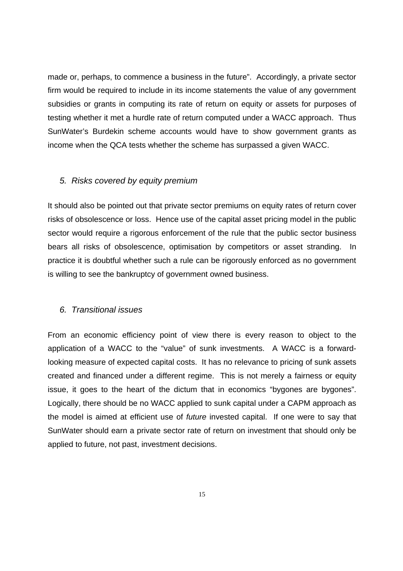made or, perhaps, to commence a business in the future". Accordingly, a private sector firm would be required to include in its income statements the value of any government subsidies or grants in computing its rate of return on equity or assets for purposes of testing whether it met a hurdle rate of return computed under a WACC approach. Thus SunWater's Burdekin scheme accounts would have to show government grants as income when the QCA tests whether the scheme has surpassed a given WACC.

#### *5. Risks covered by equity premium*

It should also be pointed out that private sector premiums on equity rates of return cover risks of obsolescence or loss. Hence use of the capital asset pricing model in the public sector would require a rigorous enforcement of the rule that the public sector business bears all risks of obsolescence, optimisation by competitors or asset stranding. In practice it is doubtful whether such a rule can be rigorously enforced as no government is willing to see the bankruptcy of government owned business.

#### *6. Transitional issues*

From an economic efficiency point of view there is every reason to object to the application of a WACC to the "value" of sunk investments. A WACC is a forwardlooking measure of expected capital costs. It has no relevance to pricing of sunk assets created and financed under a different regime. This is not merely a fairness or equity issue, it goes to the heart of the dictum that in economics "bygones are bygones". Logically, there should be no WACC applied to sunk capital under a CAPM approach as the model is aimed at efficient use of *future* invested capital. If one were to say that SunWater should earn a private sector rate of return on investment that should only be applied to future, not past, investment decisions.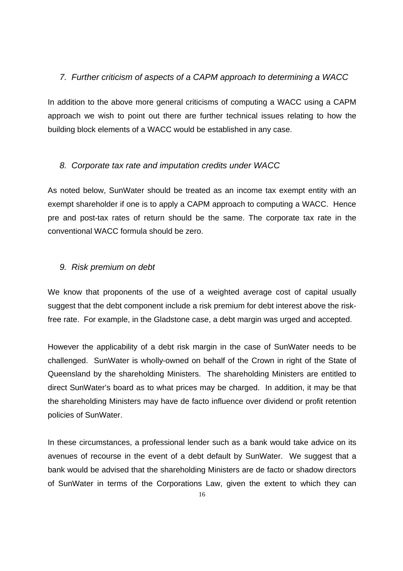## *7. Further criticism of aspects of a CAPM approach to determining a WACC*

In addition to the above more general criticisms of computing a WACC using a CAPM approach we wish to point out there are further technical issues relating to how the building block elements of a WACC would be established in any case.

## *8. Corporate tax rate and imputation credits under WACC*

As noted below, SunWater should be treated as an income tax exempt entity with an exempt shareholder if one is to apply a CAPM approach to computing a WACC. Hence pre and post-tax rates of return should be the same. The corporate tax rate in the conventional WACC formula should be zero.

## *9. Risk premium on debt*

We know that proponents of the use of a weighted average cost of capital usually suggest that the debt component include a risk premium for debt interest above the riskfree rate. For example, in the Gladstone case, a debt margin was urged and accepted.

However the applicability of a debt risk margin in the case of SunWater needs to be challenged. SunWater is wholly-owned on behalf of the Crown in right of the State of Queensland by the shareholding Ministers. The shareholding Ministers are entitled to direct SunWater's board as to what prices may be charged. In addition, it may be that the shareholding Ministers may have de facto influence over dividend or profit retention policies of SunWater.

In these circumstances, a professional lender such as a bank would take advice on its avenues of recourse in the event of a debt default by SunWater. We suggest that a bank would be advised that the shareholding Ministers are de facto or shadow directors of SunWater in terms of the Corporations Law, given the extent to which they can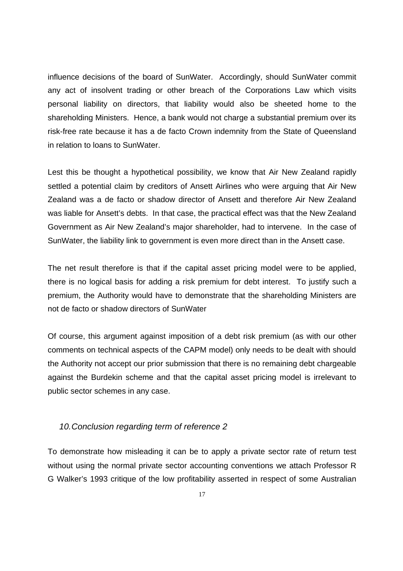influence decisions of the board of SunWater. Accordingly, should SunWater commit any act of insolvent trading or other breach of the Corporations Law which visits personal liability on directors, that liability would also be sheeted home to the shareholding Ministers. Hence, a bank would not charge a substantial premium over its risk-free rate because it has a de facto Crown indemnity from the State of Queensland in relation to loans to SunWater.

Lest this be thought a hypothetical possibility, we know that Air New Zealand rapidly settled a potential claim by creditors of Ansett Airlines who were arguing that Air New Zealand was a de facto or shadow director of Ansett and therefore Air New Zealand was liable for Ansett's debts. In that case, the practical effect was that the New Zealand Government as Air New Zealand's major shareholder, had to intervene. In the case of SunWater, the liability link to government is even more direct than in the Ansett case.

The net result therefore is that if the capital asset pricing model were to be applied, there is no logical basis for adding a risk premium for debt interest. To justify such a premium, the Authority would have to demonstrate that the shareholding Ministers are not de facto or shadow directors of SunWater

Of course, this argument against imposition of a debt risk premium (as with our other comments on technical aspects of the CAPM model) only needs to be dealt with should the Authority not accept our prior submission that there is no remaining debt chargeable against the Burdekin scheme and that the capital asset pricing model is irrelevant to public sector schemes in any case.

## *10.Conclusion regarding term of reference 2*

To demonstrate how misleading it can be to apply a private sector rate of return test without using the normal private sector accounting conventions we attach Professor R G Walker's 1993 critique of the low profitability asserted in respect of some Australian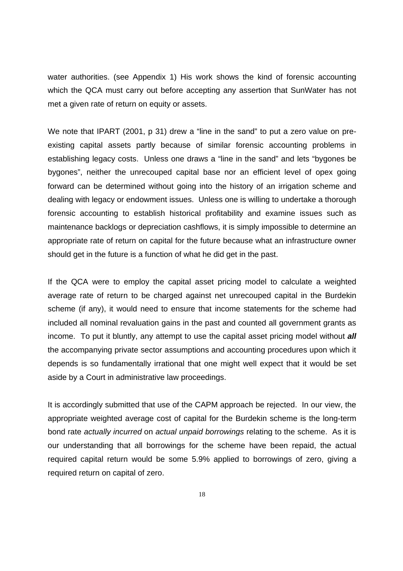water authorities. (see Appendix 1) His work shows the kind of forensic accounting which the QCA must carry out before accepting any assertion that SunWater has not met a given rate of return on equity or assets.

We note that IPART (2001, p 31) drew a "line in the sand" to put a zero value on preexisting capital assets partly because of similar forensic accounting problems in establishing legacy costs. Unless one draws a "line in the sand" and lets "bygones be bygones", neither the unrecouped capital base nor an efficient level of opex going forward can be determined without going into the history of an irrigation scheme and dealing with legacy or endowment issues. Unless one is willing to undertake a thorough forensic accounting to establish historical profitability and examine issues such as maintenance backlogs or depreciation cashflows, it is simply impossible to determine an appropriate rate of return on capital for the future because what an infrastructure owner should get in the future is a function of what he did get in the past.

If the QCA were to employ the capital asset pricing model to calculate a weighted average rate of return to be charged against net unrecouped capital in the Burdekin scheme (if any), it would need to ensure that income statements for the scheme had included all nominal revaluation gains in the past and counted all government grants as income. To put it bluntly, any attempt to use the capital asset pricing model without *all* the accompanying private sector assumptions and accounting procedures upon which it depends is so fundamentally irrational that one might well expect that it would be set aside by a Court in administrative law proceedings.

It is accordingly submitted that use of the CAPM approach be rejected. In our view, the appropriate weighted average cost of capital for the Burdekin scheme is the long-term bond rate *actually incurred* on *actual unpaid borrowings* relating to the scheme. As it is our understanding that all borrowings for the scheme have been repaid, the actual required capital return would be some 5.9% applied to borrowings of zero, giving a required return on capital of zero.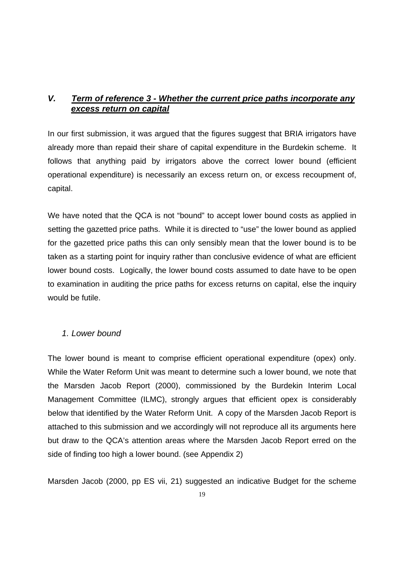## *V. Term of reference 3 - Whether the current price paths incorporate any excess return on capital*

In our first submission, it was argued that the figures suggest that BRIA irrigators have already more than repaid their share of capital expenditure in the Burdekin scheme. It follows that anything paid by irrigators above the correct lower bound (efficient operational expenditure) is necessarily an excess return on, or excess recoupment of, capital.

We have noted that the QCA is not "bound" to accept lower bound costs as applied in setting the gazetted price paths. While it is directed to "use" the lower bound as applied for the gazetted price paths this can only sensibly mean that the lower bound is to be taken as a starting point for inquiry rather than conclusive evidence of what are efficient lower bound costs. Logically, the lower bound costs assumed to date have to be open to examination in auditing the price paths for excess returns on capital, else the inquiry would be futile.

## *1. Lower bound*

The lower bound is meant to comprise efficient operational expenditure (opex) only. While the Water Reform Unit was meant to determine such a lower bound, we note that the Marsden Jacob Report (2000), commissioned by the Burdekin Interim Local Management Committee (ILMC), strongly argues that efficient opex is considerably below that identified by the Water Reform Unit. A copy of the Marsden Jacob Report is attached to this submission and we accordingly will not reproduce all its arguments here but draw to the QCA's attention areas where the Marsden Jacob Report erred on the side of finding too high a lower bound. (see Appendix 2)

Marsden Jacob (2000, pp ES vii, 21) suggested an indicative Budget for the scheme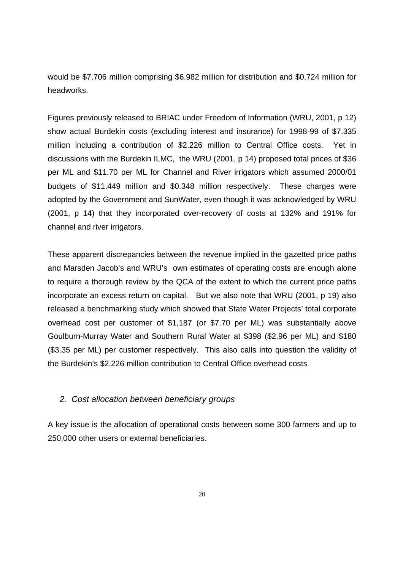would be \$7.706 million comprising \$6.982 million for distribution and \$0.724 million for headworks.

Figures previously released to BRIAC under Freedom of Information (WRU, 2001, p 12) show actual Burdekin costs (excluding interest and insurance) for 1998-99 of \$7.335 million including a contribution of \$2.226 million to Central Office costs. Yet in discussions with the Burdekin ILMC, the WRU (2001, p 14) proposed total prices of \$36 per ML and \$11.70 per ML for Channel and River irrigators which assumed 2000/01 budgets of \$11.449 million and \$0.348 million respectively. These charges were adopted by the Government and SunWater, even though it was acknowledged by WRU (2001, p 14) that they incorporated over-recovery of costs at 132% and 191% for channel and river irrigators.

These apparent discrepancies between the revenue implied in the gazetted price paths and Marsden Jacob's and WRU's own estimates of operating costs are enough alone to require a thorough review by the QCA of the extent to which the current price paths incorporate an excess return on capital. But we also note that WRU (2001, p 19) also released a benchmarking study which showed that State Water Projects' total corporate overhead cost per customer of \$1,187 (or \$7.70 per ML) was substantially above Goulburn-Murray Water and Southern Rural Water at \$398 (\$2.96 per ML) and \$180 (\$3.35 per ML) per customer respectively. This also calls into question the validity of the Burdekin's \$2.226 million contribution to Central Office overhead costs

#### *2. Cost allocation between beneficiary groups*

A key issue is the allocation of operational costs between some 300 farmers and up to 250,000 other users or external beneficiaries.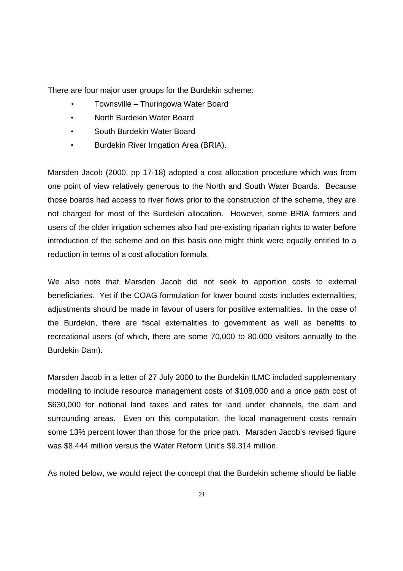There are four major user groups for the Burdekin scheme:

- Townsville Thuringowa Water Board
- North Burdekin Water Board
- South Burdekin Water Board
- Burdekin River Irrigation Area (BRIA).

Marsden Jacob (2000, pp 17-18) adopted a cost allocation procedure which was from one point of view relatively generous to the North and South Water Boards. Because those boards had access to river flows prior to the construction of the scheme, they are not charged for most of the Burdekin allocation. However, some BRIA farmers and users of the older irrigation schemes also had pre-existing riparian rights to water before introduction of the scheme and on this basis one might think were equally entitled to a reduction in terms of a cost allocation formula.

We also note that Marsden Jacob did not seek to apportion costs to external beneficiaries. Yet if the COAG formulation for lower bound costs includes externalities, adjustments should be made in favour of users for positive externalities. In the case of the Burdekin, there are fiscal externalities to government as well as benefits to recreational users (of which, there are some 70,000 to 80,000 visitors annually to the Burdekin Dam).

Marsden Jacob in a letter of 27 July 2000 to the Burdekin ILMC included supplementary modelling to include resource management costs of \$108,000 and a price path cost of \$630,000 for notional land taxes and rates for land under channels, the dam and surrounding areas. Even on this computation, the local management costs remain some 13% percent lower than those for the price path. Marsden Jacob's revised figure was \$8.444 million versus the Water Reform Unit's \$9.314 million.

As noted below, we would reject the concept that the Burdekin scheme should be liable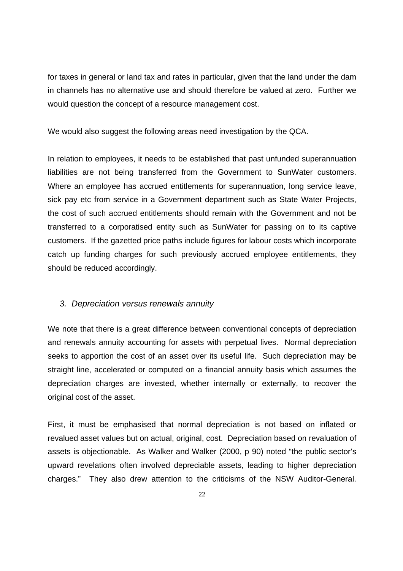for taxes in general or land tax and rates in particular, given that the land under the dam in channels has no alternative use and should therefore be valued at zero. Further we would question the concept of a resource management cost.

We would also suggest the following areas need investigation by the QCA.

In relation to employees, it needs to be established that past unfunded superannuation liabilities are not being transferred from the Government to SunWater customers. Where an employee has accrued entitlements for superannuation, long service leave, sick pay etc from service in a Government department such as State Water Projects, the cost of such accrued entitlements should remain with the Government and not be transferred to a corporatised entity such as SunWater for passing on to its captive customers. If the gazetted price paths include figures for labour costs which incorporate catch up funding charges for such previously accrued employee entitlements, they should be reduced accordingly.

#### *3. Depreciation versus renewals annuity*

We note that there is a great difference between conventional concepts of depreciation and renewals annuity accounting for assets with perpetual lives. Normal depreciation seeks to apportion the cost of an asset over its useful life. Such depreciation may be straight line, accelerated or computed on a financial annuity basis which assumes the depreciation charges are invested, whether internally or externally, to recover the original cost of the asset.

First, it must be emphasised that normal depreciation is not based on inflated or revalued asset values but on actual, original, cost. Depreciation based on revaluation of assets is objectionable. As Walker and Walker (2000, p 90) noted "the public sector's upward revelations often involved depreciable assets, leading to higher depreciation charges." They also drew attention to the criticisms of the NSW Auditor-General.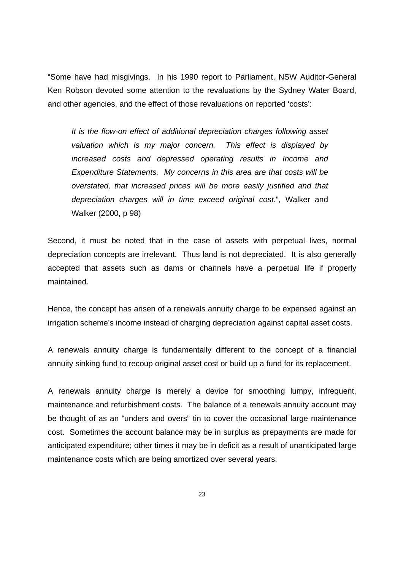"Some have had misgivings. In his 1990 report to Parliament, NSW Auditor-General Ken Robson devoted some attention to the revaluations by the Sydney Water Board, and other agencies, and the effect of those revaluations on reported 'costs':

*It is the flow-on effect of additional depreciation charges following asset valuation which is my major concern. This effect is displayed by increased costs and depressed operating results in Income and Expenditure Statements. My concerns in this area are that costs will be overstated, that increased prices will be more easily justified and that depreciation charges will in time exceed original cost*.", Walker and Walker (2000, p 98)

Second, it must be noted that in the case of assets with perpetual lives, normal depreciation concepts are irrelevant. Thus land is not depreciated. It is also generally accepted that assets such as dams or channels have a perpetual life if properly maintained.

Hence, the concept has arisen of a renewals annuity charge to be expensed against an irrigation scheme's income instead of charging depreciation against capital asset costs.

A renewals annuity charge is fundamentally different to the concept of a financial annuity sinking fund to recoup original asset cost or build up a fund for its replacement.

A renewals annuity charge is merely a device for smoothing lumpy, infrequent, maintenance and refurbishment costs. The balance of a renewals annuity account may be thought of as an "unders and overs" tin to cover the occasional large maintenance cost. Sometimes the account balance may be in surplus as prepayments are made for anticipated expenditure; other times it may be in deficit as a result of unanticipated large maintenance costs which are being amortized over several years.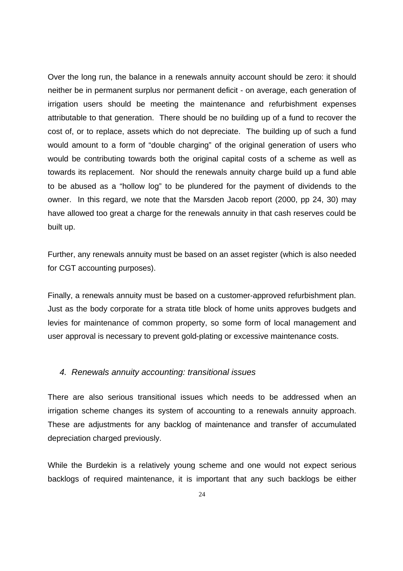Over the long run, the balance in a renewals annuity account should be zero: it should neither be in permanent surplus nor permanent deficit - on average, each generation of irrigation users should be meeting the maintenance and refurbishment expenses attributable to that generation. There should be no building up of a fund to recover the cost of, or to replace, assets which do not depreciate. The building up of such a fund would amount to a form of "double charging" of the original generation of users who would be contributing towards both the original capital costs of a scheme as well as towards its replacement. Nor should the renewals annuity charge build up a fund able to be abused as a "hollow log" to be plundered for the payment of dividends to the owner. In this regard, we note that the Marsden Jacob report (2000, pp 24, 30) may have allowed too great a charge for the renewals annuity in that cash reserves could be built up.

Further, any renewals annuity must be based on an asset register (which is also needed for CGT accounting purposes).

Finally, a renewals annuity must be based on a customer-approved refurbishment plan. Just as the body corporate for a strata title block of home units approves budgets and levies for maintenance of common property, so some form of local management and user approval is necessary to prevent gold-plating or excessive maintenance costs.

#### *4. Renewals annuity accounting: transitional issues*

There are also serious transitional issues which needs to be addressed when an irrigation scheme changes its system of accounting to a renewals annuity approach. These are adjustments for any backlog of maintenance and transfer of accumulated depreciation charged previously.

While the Burdekin is a relatively young scheme and one would not expect serious backlogs of required maintenance, it is important that any such backlogs be either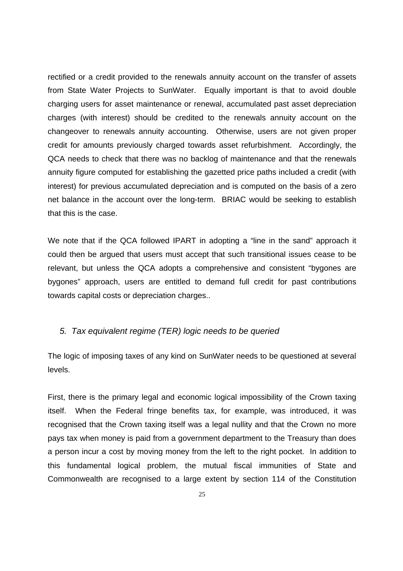rectified or a credit provided to the renewals annuity account on the transfer of assets from State Water Projects to SunWater. Equally important is that to avoid double charging users for asset maintenance or renewal, accumulated past asset depreciation charges (with interest) should be credited to the renewals annuity account on the changeover to renewals annuity accounting. Otherwise, users are not given proper credit for amounts previously charged towards asset refurbishment. Accordingly, the QCA needs to check that there was no backlog of maintenance and that the renewals annuity figure computed for establishing the gazetted price paths included a credit (with interest) for previous accumulated depreciation and is computed on the basis of a zero net balance in the account over the long-term. BRIAC would be seeking to establish that this is the case.

We note that if the QCA followed IPART in adopting a "line in the sand" approach it could then be argued that users must accept that such transitional issues cease to be relevant, but unless the QCA adopts a comprehensive and consistent "bygones are bygones" approach, users are entitled to demand full credit for past contributions towards capital costs or depreciation charges..

#### *5. Tax equivalent regime (TER) logic needs to be queried*

The logic of imposing taxes of any kind on SunWater needs to be questioned at several levels.

First, there is the primary legal and economic logical impossibility of the Crown taxing itself. When the Federal fringe benefits tax, for example, was introduced, it was recognised that the Crown taxing itself was a legal nullity and that the Crown no more pays tax when money is paid from a government department to the Treasury than does a person incur a cost by moving money from the left to the right pocket. In addition to this fundamental logical problem, the mutual fiscal immunities of State and Commonwealth are recognised to a large extent by section 114 of the Constitution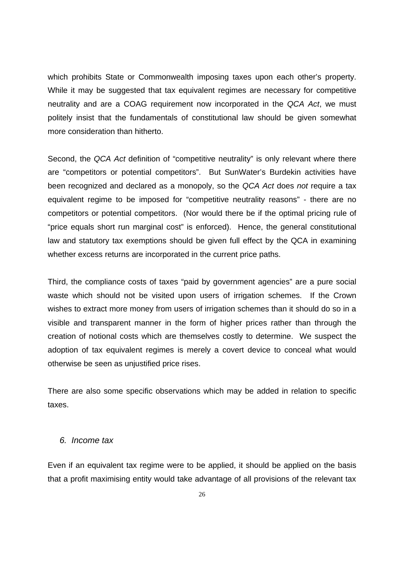which prohibits State or Commonwealth imposing taxes upon each other's property. While it may be suggested that tax equivalent regimes are necessary for competitive neutrality and are a COAG requirement now incorporated in the *QCA Act*, we must politely insist that the fundamentals of constitutional law should be given somewhat more consideration than hitherto.

Second, the *QCA Act* definition of "competitive neutrality" is only relevant where there are "competitors or potential competitors". But SunWater's Burdekin activities have been recognized and declared as a monopoly, so the *QCA Act* does *not* require a tax equivalent regime to be imposed for "competitive neutrality reasons" - there are no competitors or potential competitors. (Nor would there be if the optimal pricing rule of "price equals short run marginal cost" is enforced). Hence, the general constitutional law and statutory tax exemptions should be given full effect by the QCA in examining whether excess returns are incorporated in the current price paths.

Third, the compliance costs of taxes "paid by government agencies" are a pure social waste which should not be visited upon users of irrigation schemes. If the Crown wishes to extract more money from users of irrigation schemes than it should do so in a visible and transparent manner in the form of higher prices rather than through the creation of notional costs which are themselves costly to determine. We suspect the adoption of tax equivalent regimes is merely a covert device to conceal what would otherwise be seen as unjustified price rises.

There are also some specific observations which may be added in relation to specific taxes.

#### *6. Income tax*

Even if an equivalent tax regime were to be applied, it should be applied on the basis that a profit maximising entity would take advantage of all provisions of the relevant tax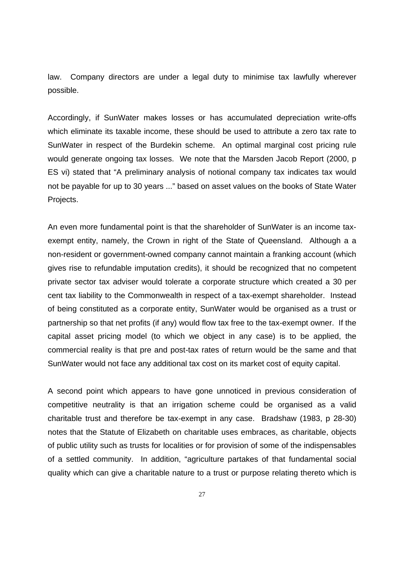law. Company directors are under a legal duty to minimise tax lawfully wherever possible.

Accordingly, if SunWater makes losses or has accumulated depreciation write-offs which eliminate its taxable income, these should be used to attribute a zero tax rate to SunWater in respect of the Burdekin scheme. An optimal marginal cost pricing rule would generate ongoing tax losses. We note that the Marsden Jacob Report (2000, p ES vi) stated that "A preliminary analysis of notional company tax indicates tax would not be payable for up to 30 years ..." based on asset values on the books of State Water Projects.

An even more fundamental point is that the shareholder of SunWater is an income taxexempt entity, namely, the Crown in right of the State of Queensland. Although a a non-resident or government-owned company cannot maintain a franking account (which gives rise to refundable imputation credits), it should be recognized that no competent private sector tax adviser would tolerate a corporate structure which created a 30 per cent tax liability to the Commonwealth in respect of a tax-exempt shareholder. Instead of being constituted as a corporate entity, SunWater would be organised as a trust or partnership so that net profits (if any) would flow tax free to the tax-exempt owner. If the capital asset pricing model (to which we object in any case) is to be applied, the commercial reality is that pre and post-tax rates of return would be the same and that SunWater would not face any additional tax cost on its market cost of equity capital.

A second point which appears to have gone unnoticed in previous consideration of competitive neutrality is that an irrigation scheme could be organised as a valid charitable trust and therefore be tax-exempt in any case. Bradshaw (1983, p 28-30) notes that the Statute of Elizabeth on charitable uses embraces, as charitable, objects of public utility such as trusts for localities or for provision of some of the indispensables of a settled community. In addition, "agriculture partakes of that fundamental social quality which can give a charitable nature to a trust or purpose relating thereto which is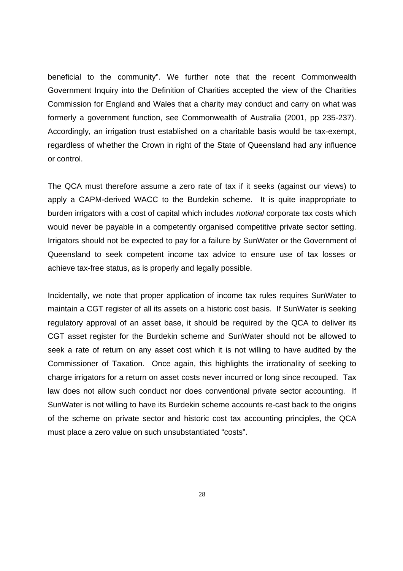beneficial to the community". We further note that the recent Commonwealth Government Inquiry into the Definition of Charities accepted the view of the Charities Commission for England and Wales that a charity may conduct and carry on what was formerly a government function, see Commonwealth of Australia (2001, pp 235-237). Accordingly, an irrigation trust established on a charitable basis would be tax-exempt, regardless of whether the Crown in right of the State of Queensland had any influence or control.

The QCA must therefore assume a zero rate of tax if it seeks (against our views) to apply a CAPM-derived WACC to the Burdekin scheme. It is quite inappropriate to burden irrigators with a cost of capital which includes *notional* corporate tax costs which would never be payable in a competently organised competitive private sector setting. Irrigators should not be expected to pay for a failure by SunWater or the Government of Queensland to seek competent income tax advice to ensure use of tax losses or achieve tax-free status, as is properly and legally possible.

Incidentally, we note that proper application of income tax rules requires SunWater to maintain a CGT register of all its assets on a historic cost basis. If SunWater is seeking regulatory approval of an asset base, it should be required by the QCA to deliver its CGT asset register for the Burdekin scheme and SunWater should not be allowed to seek a rate of return on any asset cost which it is not willing to have audited by the Commissioner of Taxation. Once again, this highlights the irrationality of seeking to charge irrigators for a return on asset costs never incurred or long since recouped. Tax law does not allow such conduct nor does conventional private sector accounting. If SunWater is not willing to have its Burdekin scheme accounts re-cast back to the origins of the scheme on private sector and historic cost tax accounting principles, the QCA must place a zero value on such unsubstantiated "costs".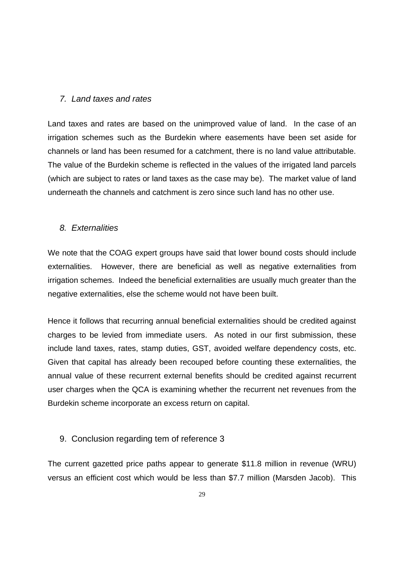#### *7. Land taxes and rates*

Land taxes and rates are based on the unimproved value of land. In the case of an irrigation schemes such as the Burdekin where easements have been set aside for channels or land has been resumed for a catchment, there is no land value attributable. The value of the Burdekin scheme is reflected in the values of the irrigated land parcels (which are subject to rates or land taxes as the case may be). The market value of land underneath the channels and catchment is zero since such land has no other use.

#### *8. Externalities*

We note that the COAG expert groups have said that lower bound costs should include externalities. However, there are beneficial as well as negative externalities from irrigation schemes. Indeed the beneficial externalities are usually much greater than the negative externalities, else the scheme would not have been built.

Hence it follows that recurring annual beneficial externalities should be credited against charges to be levied from immediate users. As noted in our first submission, these include land taxes, rates, stamp duties, GST, avoided welfare dependency costs, etc. Given that capital has already been recouped before counting these externalities, the annual value of these recurrent external benefits should be credited against recurrent user charges when the QCA is examining whether the recurrent net revenues from the Burdekin scheme incorporate an excess return on capital.

## 9. Conclusion regarding tem of reference 3

The current gazetted price paths appear to generate \$11.8 million in revenue (WRU) versus an efficient cost which would be less than \$7.7 million (Marsden Jacob). This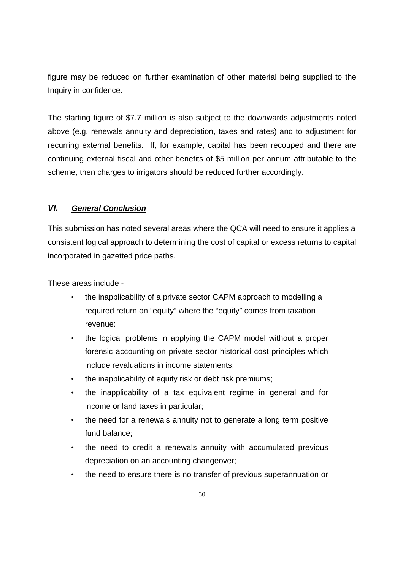figure may be reduced on further examination of other material being supplied to the Inquiry in confidence.

The starting figure of \$7.7 million is also subject to the downwards adjustments noted above (e.g. renewals annuity and depreciation, taxes and rates) and to adjustment for recurring external benefits. If, for example, capital has been recouped and there are continuing external fiscal and other benefits of \$5 million per annum attributable to the scheme, then charges to irrigators should be reduced further accordingly.

## *VI. General Conclusion*

This submission has noted several areas where the QCA will need to ensure it applies a consistent logical approach to determining the cost of capital or excess returns to capital incorporated in gazetted price paths.

These areas include -

- the inapplicability of a private sector CAPM approach to modelling a required return on "equity" where the "equity" comes from taxation revenue:
- the logical problems in applying the CAPM model without a proper forensic accounting on private sector historical cost principles which include revaluations in income statements;
- the inapplicability of equity risk or debt risk premiums;
- the inapplicability of a tax equivalent regime in general and for income or land taxes in particular;
- the need for a renewals annuity not to generate a long term positive fund balance;
- the need to credit a renewals annuity with accumulated previous depreciation on an accounting changeover;
- the need to ensure there is no transfer of previous superannuation or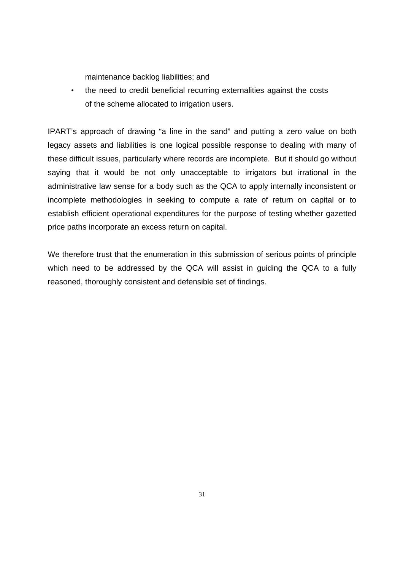maintenance backlog liabilities; and

• the need to credit beneficial recurring externalities against the costs of the scheme allocated to irrigation users.

IPART's approach of drawing "a line in the sand" and putting a zero value on both legacy assets and liabilities is one logical possible response to dealing with many of these difficult issues, particularly where records are incomplete. But it should go without saying that it would be not only unacceptable to irrigators but irrational in the administrative law sense for a body such as the QCA to apply internally inconsistent or incomplete methodologies in seeking to compute a rate of return on capital or to establish efficient operational expenditures for the purpose of testing whether gazetted price paths incorporate an excess return on capital.

We therefore trust that the enumeration in this submission of serious points of principle which need to be addressed by the QCA will assist in guiding the QCA to a fully reasoned, thoroughly consistent and defensible set of findings.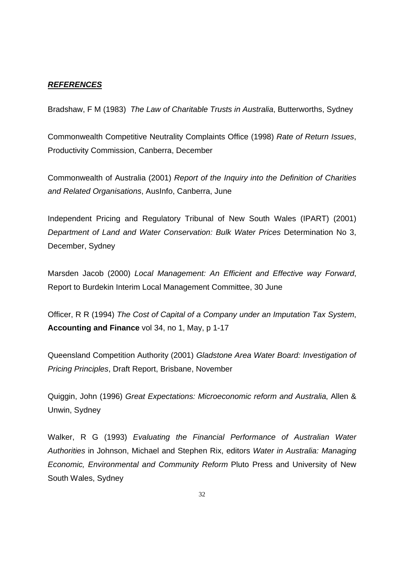#### *REFERENCES*

Bradshaw, F M (1983) *The Law of Charitable Trusts in Australia*, Butterworths, Sydney

Commonwealth Competitive Neutrality Complaints Office (1998) *Rate of Return Issues*, Productivity Commission, Canberra, December

Commonwealth of Australia (2001) *Report of the Inquiry into the Definition of Charities and Related Organisations*, AusInfo, Canberra, June

Independent Pricing and Regulatory Tribunal of New South Wales (IPART) (2001) *Department of Land and Water Conservation: Bulk Water Prices* Determination No 3, December, Sydney

Marsden Jacob (2000) *Local Management: An Efficient and Effective way Forward*, Report to Burdekin Interim Local Management Committee, 30 June

Officer, R R (1994) *The Cost of Capital of a Company under an Imputation Tax System*, **Accounting and Finance** vol 34, no 1, May, p 1-17

Queensland Competition Authority (2001) *Gladstone Area Water Board: Investigation of Pricing Principles*, Draft Report, Brisbane, November

Quiggin, John (1996) *Great Expectations: Microeconomic reform and Australia*, Allen & Unwin, Sydney

Walker, R G (1993) *Evaluating the Financial Performance of Australian Water Authorities* in Johnson, Michael and Stephen Rix, editors *Water in Australia: Managing Economic, Environmental and Community Reform* Pluto Press and University of New South Wales, Sydney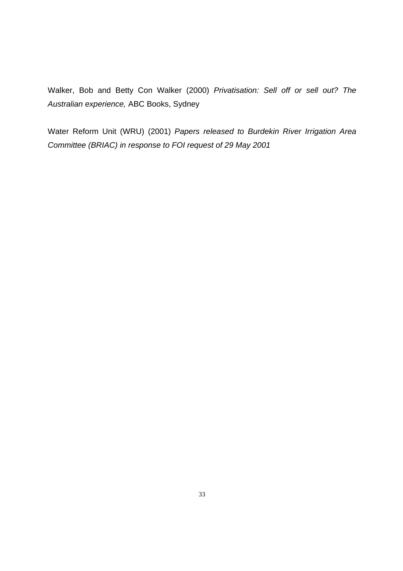Walker, Bob and Betty Con Walker (2000) *Privatisation: Sell off or sell out? The Australian experience,* ABC Books, Sydney

Water Reform Unit (WRU) (2001) *Papers released to Burdekin River Irrigation Area Committee (BRIAC) in response to FOI request of 29 May 2001*